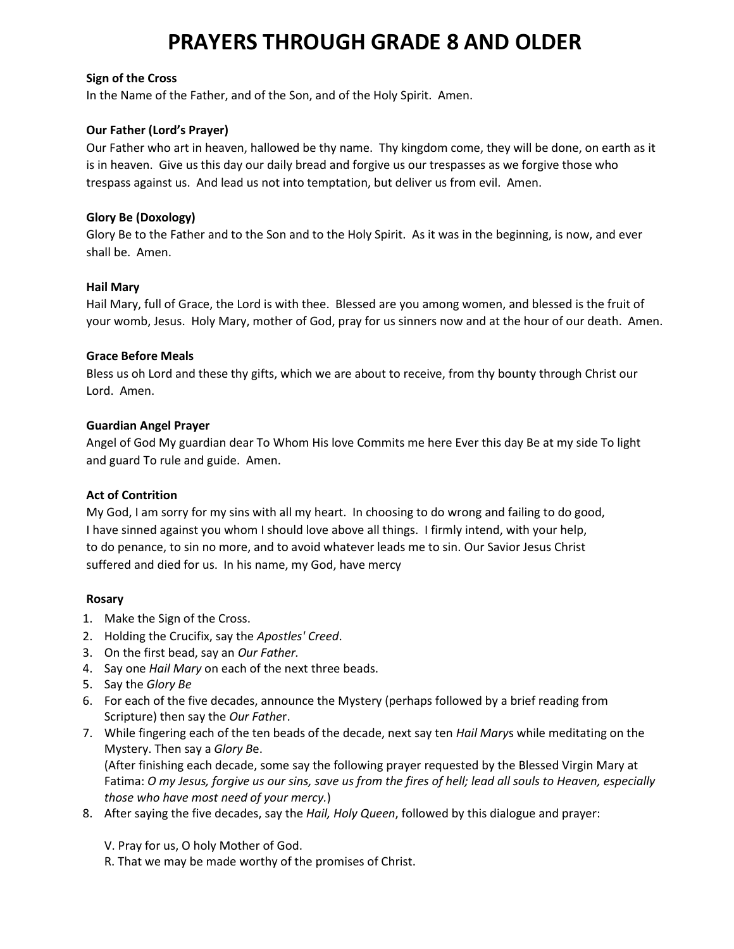#### **Sign of the Cross**

In the Name of the Father, and of the Son, and of the Holy Spirit. Amen.

### **Our Father (Lord's Prayer)**

Our Father who art in heaven, hallowed be thy name. Thy kingdom come, they will be done, on earth as it is in heaven. Give us this day our daily bread and forgive us our trespasses as we forgive those who trespass against us. And lead us not into temptation, but deliver us from evil. Amen.

### **Glory Be (Doxology)**

Glory Be to the Father and to the Son and to the Holy Spirit. As it was in the beginning, is now, and ever shall be. Amen.

#### **Hail Mary**

Hail Mary, full of Grace, the Lord is with thee. Blessed are you among women, and blessed is the fruit of your womb, Jesus. Holy Mary, mother of God, pray for us sinners now and at the hour of our death. Amen.

#### **Grace Before Meals**

Bless us oh Lord and these thy gifts, which we are about to receive, from thy bounty through Christ our Lord. Amen.

#### **Guardian Angel Prayer**

Angel of God My guardian dear To Whom His love Commits me here Ever this day Be at my side To light and guard To rule and guide. Amen.

# **Act of Contrition**

My God, I am sorry for my sins with all my heart. In choosing to do wrong and failing to do good, I have sinned against you whom I should love above all things. I firmly intend, with your help, to do penance, to sin no more, and to avoid whatever leads me to sin. Our Savior Jesus Christ suffered and died for us. In his name, my God, have mercy

#### **Rosary**

- 1. Make the Sign of the Cross.
- 2. Holding the Crucifix, say the *Apostles' Creed*.
- 3. On the first bead, say an *Our Father.*
- 4. Say one *Hail Mary* on each of the next three beads.
- 5. Say the *Glory Be*
- 6. For each of the five decades, announce the Mystery (perhaps followed by a brief reading from Scripture) then say the *Our Fathe*r.
- 7. While fingering each of the ten beads of the decade, next say ten *Hail Mary*s while meditating on the Mystery. Then say a *Glory B*e.

(After finishing each decade, some say the following prayer requested by the Blessed Virgin Mary at Fatima: O my Jesus, forgive us our sins, save us from the fires of hell; lead all souls to Heaven, especially *those who have most need of your mercy.*)

- 8. After saying the five decades, say the *Hail, Holy Queen*, followed by this dialogue and prayer:
	- V. Pray for us, O holy Mother of God.
	- R. That we may be made worthy of the promises of Christ.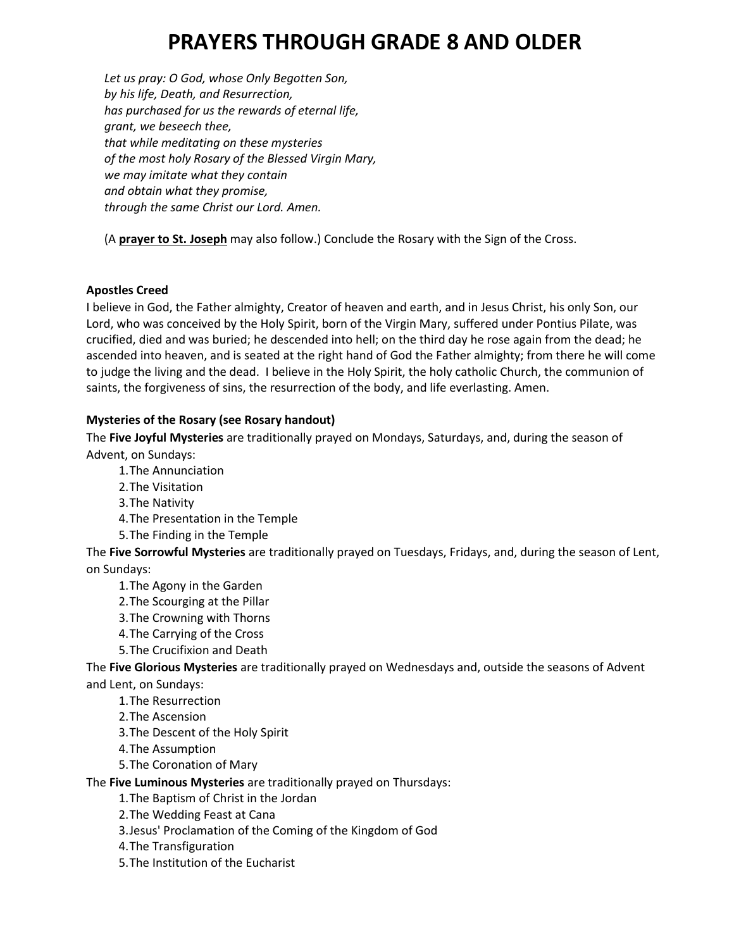*Let us pray: O God, whose Only Begotten Son, by his life, Death, and Resurrection, has purchased for us the rewards of eternal life, grant, we beseech thee, that while meditating on these mysteries of the most holy Rosary of the Blessed Virgin Mary, we may imitate what they contain and obtain what they promise, through the same Christ our Lord. Amen.*

(A **prayer to St. [Joseph](http://www.usccb.org/prayer-and-worship/prayers-and-devotions/prayers/prayer-to-st-joseph-after-rosary.cfm)** may also follow.) Conclude the Rosary with the Sign of the Cross.

# **Apostles Creed**

I believe in God, the Father almighty, Creator of heaven and earth, and in Jesus Christ, his only Son, our Lord, who was conceived by the Holy Spirit, born of the Virgin Mary, suffered under Pontius Pilate, was crucified, died and was buried; he descended into hell; on the third day he rose again from the dead; he ascended into heaven, and is seated at the right hand of God the Father almighty; from there he will come to judge the living and the dead. I believe in the Holy Spirit, the holy catholic Church, the communion of saints, the forgiveness of sins, the resurrection of the body, and life everlasting. Amen.

# **Mysteries of the Rosary (see Rosary handout)**

The **Five Joyful Mysteries** are traditionally prayed on Mondays, Saturdays, and, during the season of Advent, on Sundays:

1.The Annunciation

- 2.The Visitation
- 3.The Nativity
- 4.The Presentation in the Temple
- 5.The Finding in the Temple

The **Five Sorrowful Mysteries** are traditionally prayed on Tuesdays, Fridays, and, during the season of Lent, on Sundays:

- 1.The Agony in the Garden
- 2.The Scourging at the Pillar
- 3.The Crowning with Thorns
- 4.The Carrying of the Cross
- 5.The Crucifixion and Death

The **Five Glorious Mysteries** are traditionally prayed on Wednesdays and, outside the seasons of Advent and Lent, on Sundays:

- 1.The Resurrection
- 2.The Ascension
- 3.The Descent of the Holy Spirit
- 4.The Assumption
- 5.The Coronation of Mary

The **Five Luminous Mysteries** are traditionally prayed on Thursdays:

1.The Baptism of Christ in the Jordan

- 2.The Wedding Feast at Cana
- 3.Jesus' Proclamation of the Coming of the Kingdom of God
- 4.The Transfiguration
- 5.The Institution of the Eucharist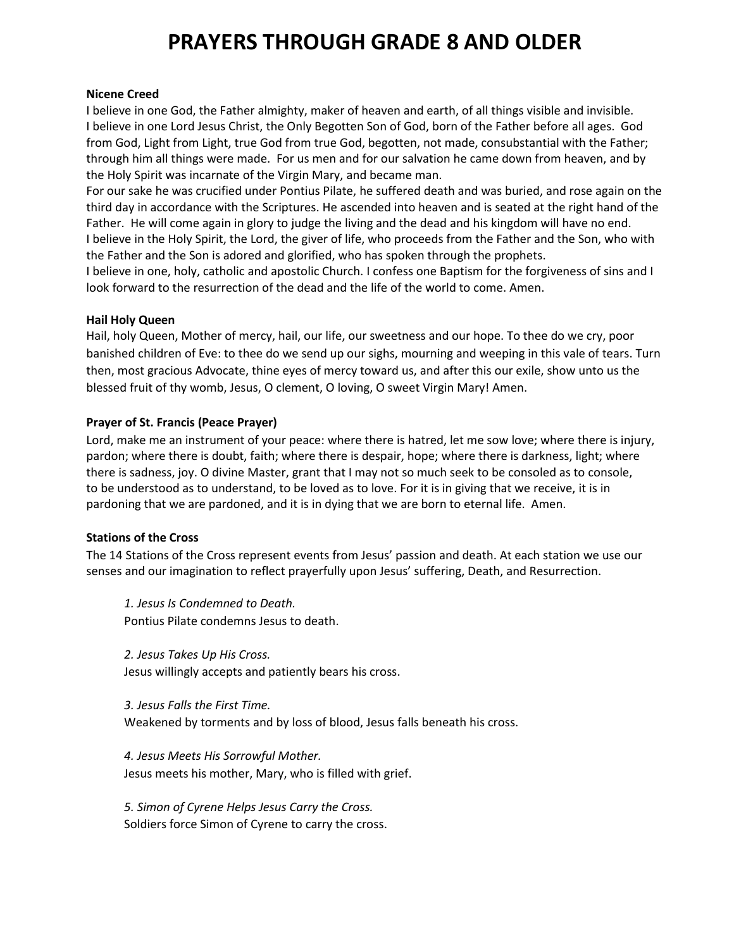#### **Nicene Creed**

I believe in one God, the Father almighty, maker of heaven and earth, of all things visible and invisible. I believe in one Lord Jesus Christ, the Only Begotten Son of God, born of the Father before all ages. God from God, Light from Light, true God from true God, begotten, not made, consubstantial with the Father; through him all things were made. For us men and for our salvation he came down from heaven, and by the Holy Spirit was incarnate of the Virgin Mary, and became man.

For our sake he was crucified under Pontius Pilate, he suffered death and was buried, and rose again on the third day in accordance with the Scriptures. He ascended into heaven and is seated at the right hand of the Father. He will come again in glory to judge the living and the dead and his kingdom will have no end. I believe in the Holy Spirit, the Lord, the giver of life, who proceeds from the Father and the Son, who with the Father and the Son is adored and glorified, who has spoken through the prophets.

I believe in one, holy, catholic and apostolic Church. I confess one Baptism for the forgiveness of sins and I look forward to the resurrection of the dead and the life of the world to come. Amen.

#### **Hail Holy Queen**

Hail, holy Queen, Mother of mercy, hail, our life, our sweetness and our hope. To thee do we cry, poor banished children of Eve: to thee do we send up our sighs, mourning and weeping in this vale of tears. Turn then, most gracious Advocate, thine eyes of mercy toward us, and after this our exile, show unto us the blessed fruit of thy womb, Jesus, O clement, O loving, O sweet Virgin Mary! Amen.

#### **Prayer of St. Francis (Peace Prayer)**

Lord, make me an instrument of your peace: where there is hatred, let me sow love; where there is injury, pardon; where there is doubt, faith; where there is despair, hope; where there is darkness, light; where there is sadness, joy. O divine Master, grant that I may not so much seek to be consoled as to console, to be understood as to understand, to be loved as to love. For it is in giving that we receive, it is in pardoning that we are pardoned, and it is in dying that we are born to eternal life. Amen.

# **Stations of the Cross**

The 14 Stations of the Cross represent events from Jesus' passion and death. At each station we use our senses and our imagination to reflect prayerfully upon Jesus' suffering, Death, and Resurrection.

*1. Jesus Is Condemned to Death.* Pontius Pilate condemns Jesus to death.

*2. Jesus Takes Up His Cross.* Jesus willingly accepts and patiently bears his cross.

*3. Jesus Falls the First Time.* Weakened by torments and by loss of blood, Jesus falls beneath his cross.

*4. Jesus Meets His Sorrowful Mother.* Jesus meets his mother, Mary, who is filled with grief.

*5. Simon of Cyrene Helps Jesus Carry the Cross.* Soldiers force Simon of Cyrene to carry the cross.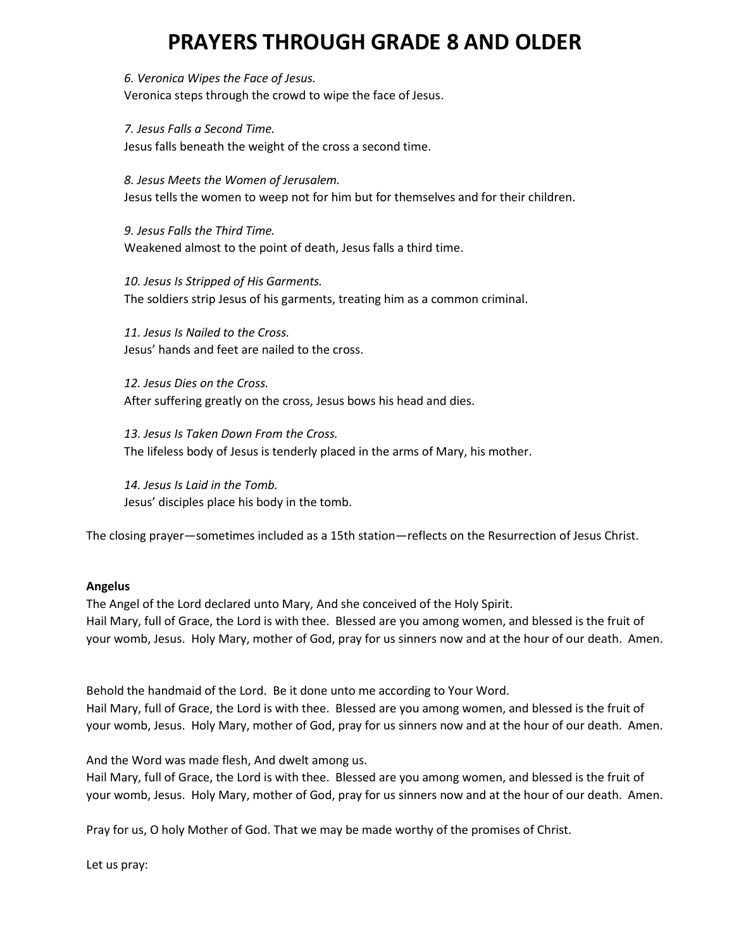*6. Veronica Wipes the Face of Jesus.* Veronica steps through the crowd to wipe the face of Jesus.

*7. Jesus Falls a Second Time.* Jesus falls beneath the weight of the cross a second time.

*8. Jesus Meets the Women of Jerusalem.* Jesus tells the women to weep not for him but for themselves and for their children.

*9. Jesus Falls the Third Time.* Weakened almost to the point of death, Jesus falls a third time.

*10. Jesus Is Stripped of His Garments.* The soldiers strip Jesus of his garments, treating him as a common criminal.

*11. Jesus Is Nailed to the Cross.* Jesus' hands and feet are nailed to the cross.

*12. Jesus Dies on the Cross.* After suffering greatly on the cross, Jesus bows his head and dies.

*13. Jesus Is Taken Down From the Cross.* The lifeless body of Jesus is tenderly placed in the arms of Mary, his mother.

*14. Jesus Is Laid in the Tomb.* Jesus' disciples place his body in the tomb.

The closing prayer—sometimes included as a 15th station—reflects on the Resurrection of Jesus Christ.

# **Angelus**

The Angel of the Lord declared unto Mary, And she conceived of the Holy Spirit. Hail Mary, full of Grace, the Lord is with thee. Blessed are you among women, and blessed is the fruit of your womb, Jesus. Holy Mary, mother of God, pray for us sinners now and at the hour of our death. Amen.

Behold the handmaid of the Lord. Be it done unto me according to Your Word. Hail Mary, full of Grace, the Lord is with thee. Blessed are you among women, and blessed is the fruit of your womb, Jesus. Holy Mary, mother of God, pray for us sinners now and at the hour of our death. Amen.

And the Word was made flesh, And dwelt among us.

Hail Mary, full of Grace, the Lord is with thee. Blessed are you among women, and blessed is the fruit of your womb, Jesus. Holy Mary, mother of God, pray for us sinners now and at the hour of our death. Amen.

Pray for us, O holy Mother of God. That we may be made worthy of the promises of Christ.

Let us pray: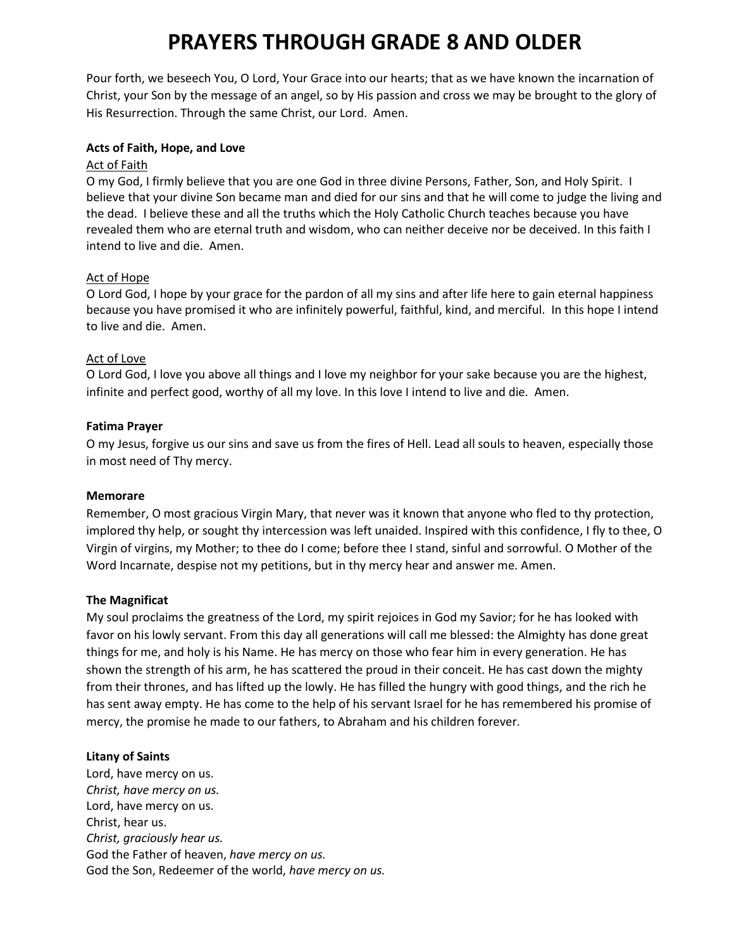Pour forth, we beseech You, O Lord, Your Grace into our hearts; that as we have known the incarnation of Christ, your Son by the message of an angel, so by His passion and cross we may be brought to the glory of His Resurrection. Through the same Christ, our Lord. Amen.

#### **Acts of Faith, Hope, and Love**

### Act of Faith

O my God, I firmly believe that you are one God in three divine Persons, Father, Son, and Holy Spirit. I believe that your divine Son became man and died for our sins and that he will come to judge the living and the dead. I believe these and all the truths which the Holy Catholic Church teaches because you have revealed them who are eternal truth and wisdom, who can neither deceive nor be deceived. In this faith I intend to live and die. Amen.

# Act of Hope

O Lord God, I hope by your grace for the pardon of all my sins and after life here to gain eternal happiness because you have promised it who are infinitely powerful, faithful, kind, and merciful. In this hope I intend to live and die. Amen.

#### Act of Love

O Lord God, I love you above all things and I love my neighbor for your sake because you are the highest, infinite and perfect good, worthy of all my love. In this love I intend to live and die. Amen.

#### **Fatima Prayer**

O my Jesus, forgive us our sins and save us from the fires of Hell. Lead all souls to heaven, especially those in most need of Thy mercy.

#### **Memorare**

Remember, O most gracious Virgin Mary, that never was it known that anyone who fled to thy protection, implored thy help, or sought thy intercession was left unaided. Inspired with this confidence, I fly to thee, O Virgin of virgins, my Mother; to thee do I come; before thee I stand, sinful and sorrowful. O Mother of the Word Incarnate, despise not my petitions, but in thy mercy hear and answer me. Amen.

# **The Magnificat**

My soul proclaims the greatness of the Lord, my spirit rejoices in God my Savior; for he has looked with favor on his lowly servant. From this day all generations will call me blessed: the Almighty has done great things for me, and holy is his Name. He has mercy on those who fear him in every generation. He has shown the strength of his arm, he has scattered the proud in their conceit. He has cast down the mighty from their thrones, and has lifted up the lowly. He has filled the hungry with good things, and the rich he has sent away empty. He has come to the help of his servant Israel for he has remembered his promise of mercy, the promise he made to our fathers, to Abraham and his children forever.

#### **Litany of Saints**

Lord, have mercy on us. *Christ, have mercy on us.* Lord, have mercy on us. Christ, hear us. *Christ, graciously hear us.* God the Father of heaven, *have mercy on us.* God the Son, Redeemer of the world, *have mercy on us.*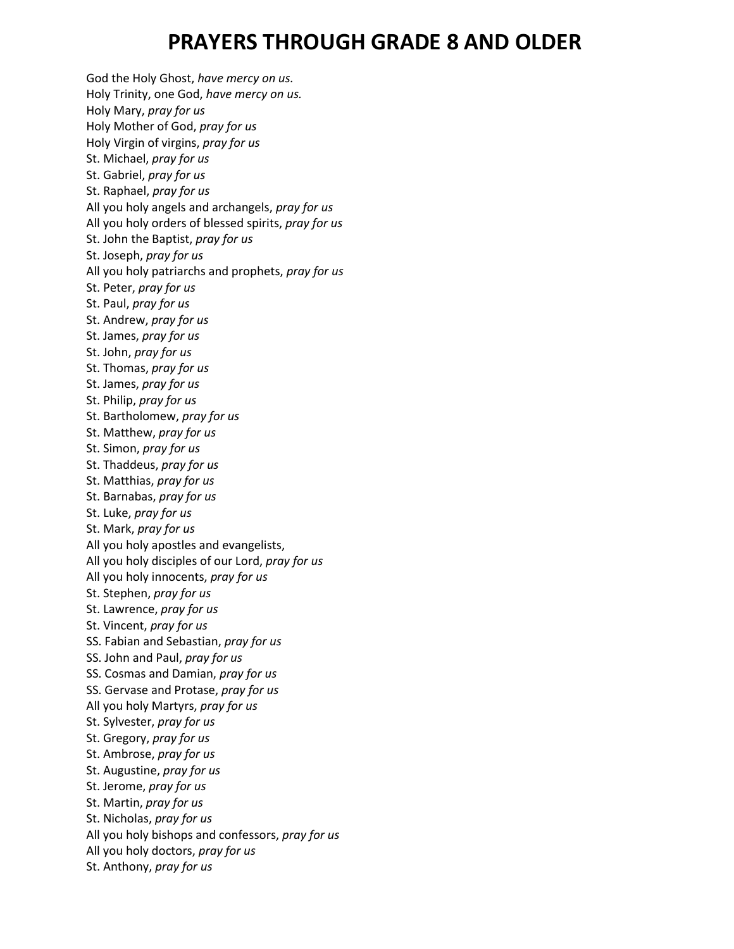God the Holy Ghost, *have mercy on us.* Holy Trinity, one God, *have mercy on us.* Holy Mary, *pray for us* Holy Mother of God, *pray for us* Holy Virgin of virgins, *pray for us* St. Michael, *pray for us* St. Gabriel, *pray for us* St. Raphael, *pray for us* All you holy angels and archangels, *pray for us* All you holy orders of blessed spirits, *pray for us* St. John the Baptist, *pray for us* St. Joseph, *pray for us* All you holy patriarchs and prophets, *pray for us* St. Peter, *pray for us* St. Paul, *pray for us* St. Andrew, *pray for us* St. James, *pray for us* St. John, *pray for us* St. Thomas, *pray for us* St. James, *pray for us* St. Philip, *pray for us* St. Bartholomew, *pray for us* St. Matthew, *pray for us* St. Simon, *pray for us* St. Thaddeus, *pray for us* St. Matthias, *pray for us* St. Barnabas, *pray for us* St. Luke, *pray for us* St. Mark, *pray for us* All you holy apostles and evangelists, All you holy disciples of our Lord, *pray for us* All you holy innocents, *pray for us* St. Stephen, *pray for us* St. Lawrence, *pray for us* St. Vincent, *pray for us* SS. Fabian and Sebastian, *pray for us* SS. John and Paul, *pray for us* SS. Cosmas and Damian, *pray for us* SS. Gervase and Protase, *pray for us* All you holy Martyrs, *pray for us* St. Sylvester, *pray for us* St. Gregory, *pray for us* St. Ambrose, *pray for us* St. Augustine, *pray for us* St. Jerome, *pray for us* St. Martin, *pray for us* St. Nicholas, *pray for us* All you holy bishops and confessors, *pray for us* All you holy doctors, *pray for us* St. Anthony, *pray for us*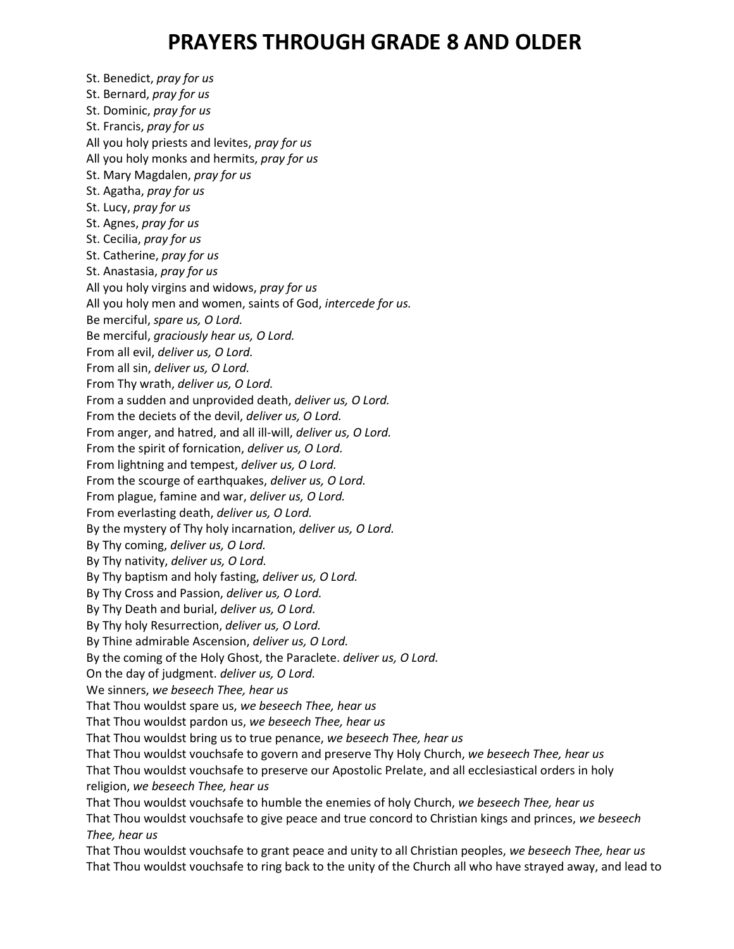St. Benedict, *pray for us* St. Bernard, *pray for us* St. Dominic, *pray for us* St. Francis, *pray for us* All you holy priests and levites, *pray for us* All you holy monks and hermits, *pray for us* St. Mary Magdalen, *pray for us* St. Agatha, *pray for us* St. Lucy, *pray for us* St. Agnes, *pray for us* St. Cecilia, *pray for us* St. Catherine, *pray for us* St. Anastasia, *pray for us* All you holy virgins and widows, *pray for us* All you holy men and women, saints of God, *intercede for us.* Be merciful, *spare us, O Lord.* Be merciful, *graciously hear us, O Lord.* From all evil, *deliver us, O Lord.* From all sin, *deliver us, O Lord.* From Thy wrath, *deliver us, O Lord.* From a sudden and unprovided death, *deliver us, O Lord.* From the deciets of the devil, *deliver us, O Lord.* From anger, and hatred, and all ill-will, *deliver us, O Lord.* From the spirit of fornication, *deliver us, O Lord.* From lightning and tempest, *deliver us, O Lord.* From the scourge of earthquakes, *deliver us, O Lord.* From plague, famine and war, *deliver us, O Lord.* From everlasting death, *deliver us, O Lord.* By the mystery of Thy holy incarnation, *deliver us, O Lord.* By Thy coming, *deliver us, O Lord.* By Thy nativity, *deliver us, O Lord.* By Thy baptism and holy fasting, *deliver us, O Lord.* By Thy Cross and Passion, *deliver us, O Lord.* By Thy Death and burial, *deliver us, O Lord.* By Thy holy Resurrection, *deliver us, O Lord.* By Thine admirable Ascension, *deliver us, O Lord.* By the coming of the Holy Ghost, the Paraclete. *deliver us, O Lord.* On the day of judgment. *deliver us, O Lord.* We sinners, *we beseech Thee, hear us* That Thou wouldst spare us, *we beseech Thee, hear us* That Thou wouldst pardon us, *we beseech Thee, hear us* That Thou wouldst bring us to true penance, *we beseech Thee, hear us* That Thou wouldst vouchsafe to govern and preserve Thy Holy Church, *we beseech Thee, hear us* That Thou wouldst vouchsafe to preserve our Apostolic Prelate, and all ecclesiastical orders in holy religion, *we beseech Thee, hear us* That Thou wouldst vouchsafe to humble the enemies of holy Church, *we beseech Thee, hear us* That Thou wouldst vouchsafe to give peace and true concord to Christian kings and princes, *we beseech Thee, hear us*

That Thou wouldst vouchsafe to grant peace and unity to all Christian peoples, *we beseech Thee, hear us* That Thou wouldst vouchsafe to ring back to the unity of the Church all who have strayed away, and lead to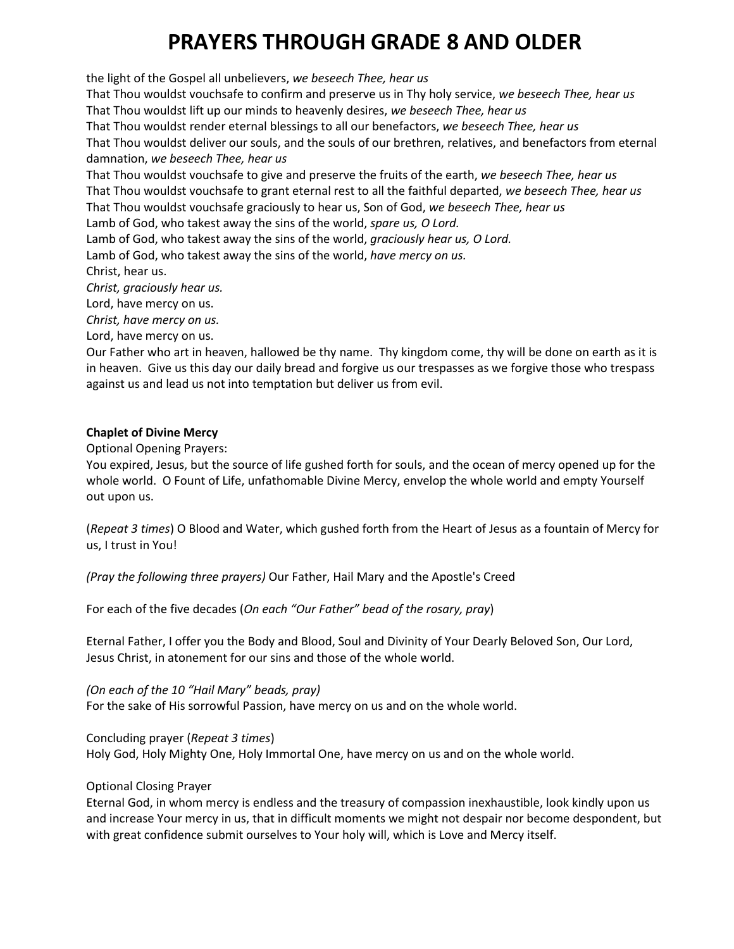the light of the Gospel all unbelievers, *we beseech Thee, hear us* That Thou wouldst vouchsafe to confirm and preserve us in Thy holy service, *we beseech Thee, hear us* That Thou wouldst lift up our minds to heavenly desires, *we beseech Thee, hear us* That Thou wouldst render eternal blessings to all our benefactors, *we beseech Thee, hear us* That Thou wouldst deliver our souls, and the souls of our brethren, relatives, and benefactors from eternal damnation, *we beseech Thee, hear us* That Thou wouldst vouchsafe to give and preserve the fruits of the earth, *we beseech Thee, hear us* That Thou wouldst vouchsafe to grant eternal rest to all the faithful departed, *we beseech Thee, hear us* That Thou wouldst vouchsafe graciously to hear us, Son of God, *we beseech Thee, hear us* Lamb of God, who takest away the sins of the world, *spare us, O Lord.* Lamb of God, who takest away the sins of the world, *graciously hear us, O Lord.* Lamb of God, who takest away the sins of the world, *have mercy on us.* Christ, hear us. *Christ, graciously hear us.* Lord, have mercy on us. *Christ, have mercy on us.* Lord, have mercy on us.

Our Father who art in heaven, hallowed be thy name. Thy kingdom come, thy will be done on earth as it is in heaven. Give us this day our daily bread and forgive us our trespasses as we forgive those who trespass against us and lead us not into temptation but deliver us from evil.

# **Chaplet of Divine Mercy**

Optional Opening Prayers:

You expired, Jesus, but the source of life gushed forth for souls, and the ocean of mercy opened up for the whole world. O Fount of Life, unfathomable Divine Mercy, envelop the whole world and empty Yourself out upon us.

(*Repeat 3 times*) O Blood and Water, which gushed forth from the Heart of Jesus as a fountain of Mercy for us, I trust in You!

*(Pray the following three prayers)* Our Father, Hail Mary and the Apostle's Creed

For each of the five decades (*On each "Our Father" bead of the rosary, pray*)

Eternal Father, I offer you the Body and Blood, Soul and Divinity of Your Dearly Beloved Son, Our Lord, Jesus Christ, in atonement for our sins and those of the whole world.

*(On each of the 10 "Hail Mary" beads, pray)* For the sake of His sorrowful Passion, have mercy on us and on the whole world.

Concluding prayer (*Repeat 3 times*) Holy God, Holy Mighty One, Holy Immortal One, have mercy on us and on the whole world.

# Optional Closing Prayer

Eternal God, in whom mercy is endless and the treasury of compassion inexhaustible, look kindly upon us and increase Your mercy in us, that in difficult moments we might not despair nor become despondent, but with great confidence submit ourselves to Your holy will, which is Love and Mercy itself.